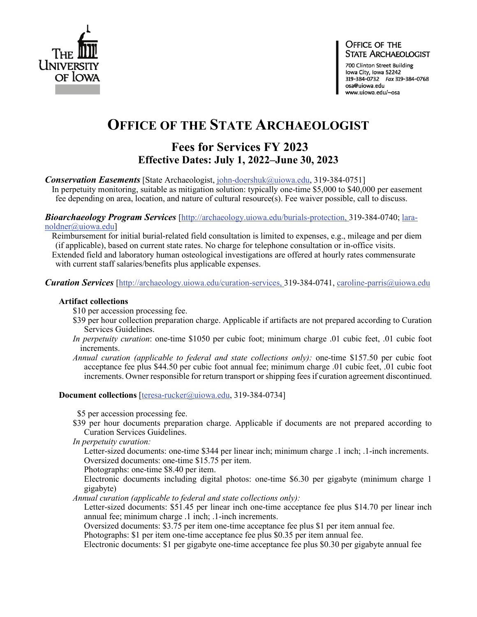

#### OFFICE OF THE **STATE ARCHAEOLOGIST**

700 Clinton Street Building Iowa City, Iowa 52242 319-384-0732 Fax 319-384-0768 osa@uiowa.edu www.uiowa.edu/~osa

# **OFFICE OF THE STATE ARCHAEOLOGIST**

# **Fees for Services FY 2023 Effective Dates: July 1, 2022–June 30, 2023**

*Conservation Easements* [State Archaeologist, [john-doershuk@uiowa.edu,](mailto:john-doershuk@uiowa.edu) 319-384-0751]

In perpetuity monitoring, suitable as mitigation solution: typically one-time \$5,000 to \$40,000 per easement fee depending on area, location, and nature of cultural resource(s). Fee waiver possible, call to discuss.

*Bioarchaeology Program Services* [\[http://archaeology.uiowa.edu/burials-protection,](http://archaeology.uiowa.edu/burials-protection) 319-384-0740; laranoldner@uiowa.edu]

Reimbursement for initial burial-related field consultation is limited to expenses, e.g., mileage and per diem (if applicable), based on current state rates. No charge for telephone consultation or in-office visits. Extended field and laboratory human osteological investigations are offered at hourly rates commensurate with current staff salaries/benefits plus applicable expenses.

*Curation Services* [\[http://archaeology.uiowa.edu/curation-services,](http://archaeology.uiowa.edu/curation-services) 319-384-0741, caroline-parris@uiowa.edu

#### **Artifact collections**

\$10 per accession processing fee.

- \$39 per hour collection preparation charge. Applicable if artifacts are not prepared according to Curation Services Guidelines.
- *In perpetuity curation*: one-time \$1050 per cubic foot; minimum charge .01 cubic feet, .01 cubic foot increments.
- *Annual curation (applicable to federal and state collections only):* one-time \$157.50 per cubic foot acceptance fee plus \$44.50 per cubic foot annual fee; minimum charge .01 cubic feet, .01 cubic foot increments. Owner responsible for return transport or shipping fees if curation agreement discontinued.

**Document collections** [teresa-rucker@uiowa.edu, 319-384-0734]

\$5 per accession processing fee.

- \$39 per hour documents preparation charge. Applicable if documents are not prepared according to Curation Services Guidelines.
- *In perpetuity curation:*

 Letter-sized documents: one-time \$344 per linear inch; minimum charge .1 inch; .1-inch increments. Oversized documents: one-time \$15.75 per item.

Photographs: one-time \$8.40 per item.

 Electronic documents including digital photos: one-time \$6.30 per gigabyte (minimum charge 1 gigabyte)

 *Annual curation (applicable to federal and state collections only):*

 Letter-sized documents: \$51.45 per linear inch one-time acceptance fee plus \$14.70 per linear inch annual fee; minimum charge .1 inch; .1-inch increments.

Oversized documents: \$3.75 per item one-time acceptance fee plus \$1 per item annual fee.

Photographs: \$1 per item one-time acceptance fee plus \$0.35 per item annual fee.

Electronic documents: \$1 per gigabyte one-time acceptance fee plus \$0.30 per gigabyte annual fee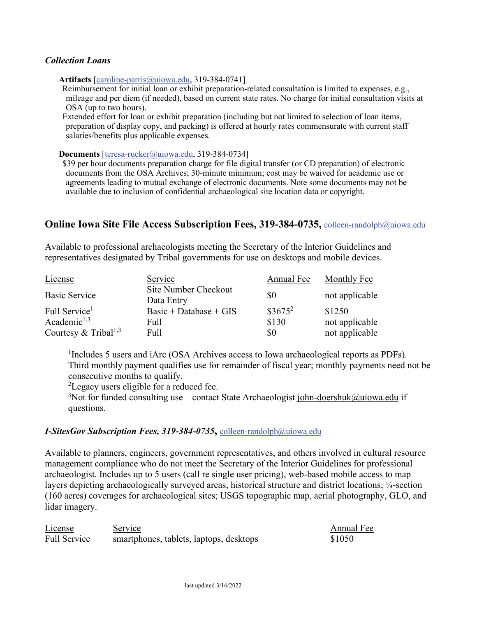#### *Collection Loans*

**Artifacts** [\[caroline-parris@uiowa.edu,](mailto:caroline-parris@uiowa.edu) 319-384-0741]

Reimbursement for initial loan or exhibit preparation-related consultation is limited to expenses, e.g., mileage and per diem (if needed), based on current state rates. No charge for initial consultation visits at OSA (up to two hours).

Extended effort for loan or exhibit preparation (including but not limited to selection of loan items, preparation of display copy, and packing) is offered at hourly rates commensurate with current staff salaries/benefits plus applicable expenses.

**Documents** [teresa-rucker@uiowa.edu, 319-384-0734]

\$39 per hour documents preparation charge for file digital transfer (or CD preparation) of electronic documents from the OSA Archives; 30-minute minimum; cost may be waived for academic use or agreements leading to mutual exchange of electronic documents. Note some documents may not be available due to inclusion of confidential archaeological site location data or copyright.

## **Online Iowa Site File Access Subscription Fees, 319-384-0735,** colleen-randolph@uiowa.edu

Available to professional archaeologists meeting the Secretary of the Interior Guidelines and representatives designated by Tribal governments for use on desktops and mobile devices.

| License                          | Service                            | Annual Fee | Monthly Fee    |
|----------------------------------|------------------------------------|------------|----------------|
| <b>Basic Service</b>             | Site Number Checkout<br>Data Entry | \$0        | not applicable |
| Full Service <sup>1</sup>        | Basic + Database + $GIS$           | $$3675^2$  | \$1250         |
| Academic <sup>1,3</sup>          | Full                               | \$130      | not applicable |
| Courtesy & Tribal <sup>1,3</sup> | Full                               | \$0        | not applicable |

<sup>1</sup>Includes 5 users and iArc (OSA Archives access to Iowa archaeological reports as PDFs). Third monthly payment qualifies use for remainder of fiscal year; monthly payments need not be consecutive months to qualify.

 ${}^{2}$ Legacy users eligible for a reduced fee.

<sup>3</sup>Not for funded consulting use—contact State Archaeologist [john-doershuk@uiowa.edu](mailto:john-doershuk@uiowa.edu) if questions.

### *I-SitesGov Subscription Fees, 319-384-0735***,** colleen-randolph@uiowa.edu

Available to planners, engineers, government representatives, and others involved in cultural resource management compliance who do not meet the Secretary of the Interior Guidelines for professional archaeologist. Includes up to 5 users (call re single user pricing), web-based mobile access to map layers depicting archaeologically surveyed areas, historical structure and district locations; ¼-section (160 acres) coverages for archaeological sites; USGS topographic map, aerial photography, GLO, and lidar imagery.

License Service Annual Fee Full Service smartphones, tablets, laptops, desktops \$1050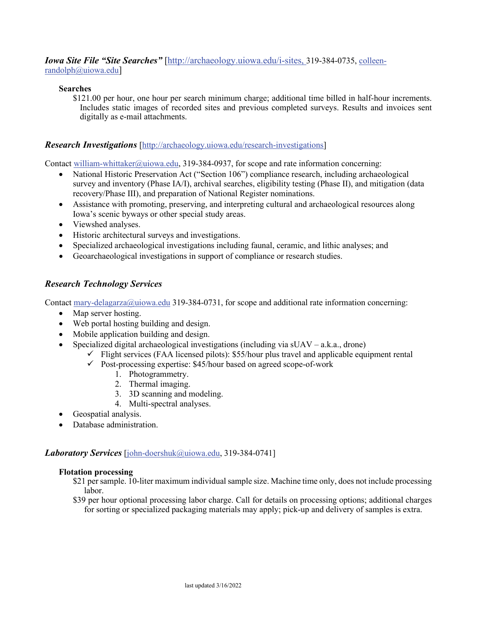*Iowa Site File "Site Searches"* [\[http://archaeology.uiowa.edu/i-sites,](http://archaeology.uiowa.edu/i-sites) 319-384-0735, colleenrandolph@uiowa.edu]

#### **Searches**

 \$121.00 per hour, one hour per search minimum charge; additional time billed in half-hour increments. Includes static images of recorded sites and previous completed surveys. Results and invoices sent digitally as e-mail attachments.

#### *Research Investigations* [\[http://archaeology.uiowa.edu/research-investigations\]](http://archaeology.uiowa.edu/research-investigations)

Contact [william-whittaker@uiowa.edu,](mailto:Melody-Pope@uiowa.edu) 319-384-0937, for scope and rate information concerning:

- National Historic Preservation Act ("Section 106") compliance research, including archaeological survey and inventory (Phase IA/I), archival searches, eligibility testing (Phase II), and mitigation (data recovery/Phase III), and preparation of National Register nominations.
- Assistance with promoting, preserving, and interpreting cultural and archaeological resources along Iowa's scenic byways or other special study areas.
- Viewshed analyses.
- Historic architectural surveys and investigations.
- Specialized archaeological investigations including faunal, ceramic, and lithic analyses; and
- Geoarchaeological investigations in support of compliance or research studies.

### *Research Technology Services*

Contact [mary-delagarza@uiowa.edu](mailto:mary-delagarza@uiowa.edu) 319-384-0731, for scope and additional rate information concerning:

- Map server hosting.
- Web portal hosting building and design.
- Mobile application building and design.
- Specialized digital archaeological investigations (including via  $sUAV a.k.a.,$  drone)
	- $\checkmark$  Flight services (FAA licensed pilots): \$55/hour plus travel and applicable equipment rental
		- $\checkmark$  Post-processing expertise: \$45/hour based on agreed scope-of-work
			- 1. Photogrammetry.
			- 2. Thermal imaging.
			- 3. 3D scanning and modeling.
			- 4. Multi-spectral analyses.
- Geospatial analysis.
- Database administration.

#### *Laboratory Services* [\[john-doershuk@uiowa.edu,](mailto:john-doershuk@uiowa.edu) 319-384-0741]

#### **Flotation processing**

- \$21 per sample. 10-liter maximum individual sample size. Machine time only, does not include processing labor.
- \$39 per hour optional processing labor charge. Call for details on processing options; additional charges for sorting or specialized packaging materials may apply; pick-up and delivery of samples is extra.